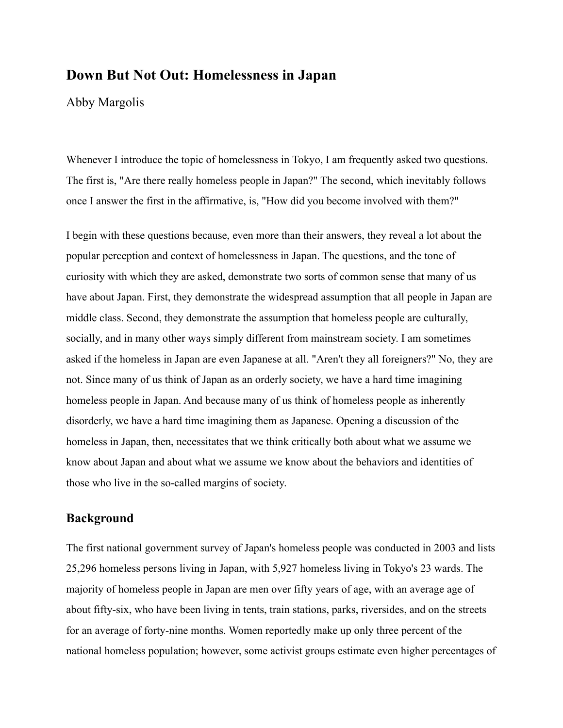# **Down But Not Out: Homelessness in Japan**

Abby Margolis

Whenever I introduce the topic of homelessness in Tokyo, I am frequently asked two questions. The first is, "Are there really homeless people in Japan?" The second, which inevitably follows once I answer the first in the affirmative, is, "How did you become involved with them?"

I begin with these questions because, even more than their answers, they reveal a lot about the popular perception and context of homelessness in Japan. The questions, and the tone of curiosity with which they are asked, demonstrate two sorts of common sense that many of us have about Japan. First, they demonstrate the widespread assumption that all people in Japan are middle class. Second, they demonstrate the assumption that homeless people are culturally, socially, and in many other ways simply different from mainstream society. I am sometimes asked if the homeless in Japan are even Japanese at all. "Aren't they all foreigners?" No, they are not. Since many of us think of Japan as an orderly society, we have a hard time imagining homeless people in Japan. And because many of us think of homeless people as inherently disorderly, we have a hard time imagining them as Japanese. Opening a discussion of the homeless in Japan, then, necessitates that we think critically both about what we assume we know about Japan and about what we assume we know about the behaviors and identities of those who live in the so-called margins of society.

## **Background**

The first national government survey of Japan's homeless people was conducted in 2003 and lists 25,296 homeless persons living in Japan, with 5,927 homeless living in Tokyo's 23 wards. The majority of homeless people in Japan are men over fifty years of age, with an average age of about fifty-six, who have been living in tents, train stations, parks, riversides, and on the streets for an average of forty-nine months. Women reportedly make up only three percent of the national homeless population; however, some activist groups estimate even higher percentages of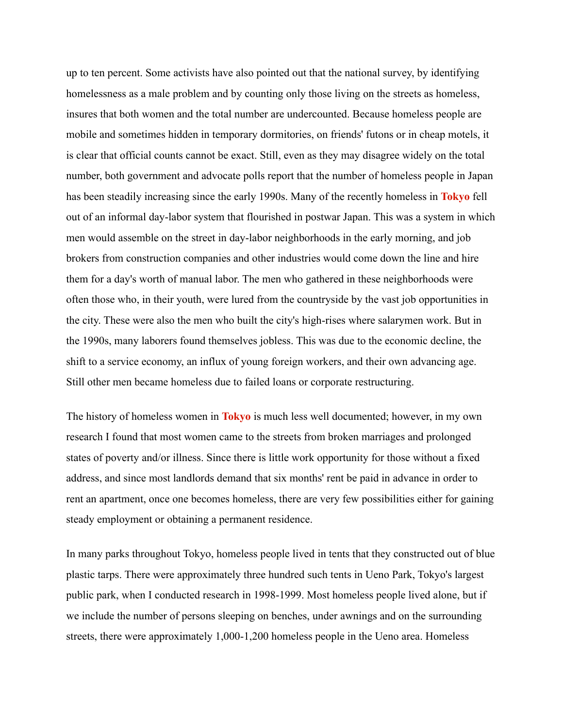up to ten percent. Some activists have also pointed out that the national survey, by identifying homelessness as a male problem and by counting only those living on the streets as homeless, insures that both women and the total number are undercounted. Because homeless people are mobile and sometimes hidden in temporary dormitories, on friends' futons or in cheap motels, it is clear that official counts cannot be exact. Still, even as they may disagree widely on the total number, both government and advocate polls report that the number of homeless people in Japan has been steadily increasing since the early 1990s. Many of the recently homeless in **[Tokyo](https://japanpitt.pitt.edu/glossary/tokyo)** fell out of an informal day-labor system that flourished in postwar Japan. This was a system in which men would assemble on the street in day-labor neighborhoods in the early morning, and job brokers from construction companies and other industries would come down the line and hire them for a day's worth of manual labor. The men who gathered in these neighborhoods were often those who, in their youth, were lured from the countryside by the vast job opportunities in the city. These were also the men who built the city's high-rises where salarymen work. But in the 1990s, many laborers found themselves jobless. This was due to the economic decline, the shift to a service economy, an influx of young foreign workers, and their own advancing age. Still other men became homeless due to failed loans or corporate restructuring.

The history of homeless women in **[Tokyo](https://japanpitt.pitt.edu/glossary/tokyo)** is much less well documented; however, in my own research I found that most women came to the streets from broken marriages and prolonged states of poverty and/or illness. Since there is little work opportunity for those without a fixed address, and since most landlords demand that six months' rent be paid in advance in order to rent an apartment, once one becomes homeless, there are very few possibilities either for gaining steady employment or obtaining a permanent residence.

In many parks throughout Tokyo, homeless people lived in tents that they constructed out of blue plastic tarps. There were approximately three hundred such tents in Ueno Park, Tokyo's largest public park, when I conducted research in 1998-1999. Most homeless people lived alone, but if we include the number of persons sleeping on benches, under awnings and on the surrounding streets, there were approximately 1,000-1,200 homeless people in the Ueno area. Homeless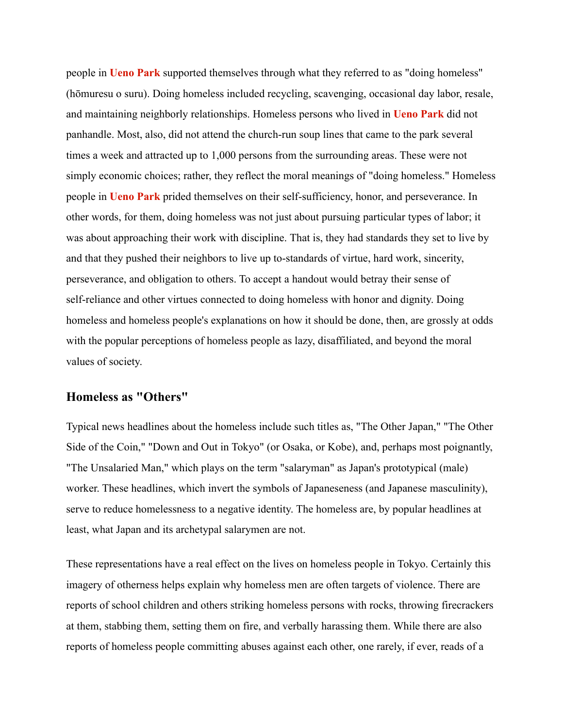people in **[Ueno Park](https://japanpitt.pitt.edu/glossary/ueno-park)** supported themselves through what they referred to as "doing homeless" (hōmuresu o suru). Doing homeless included recycling, scavenging, occasional day labor, resale, and maintaining neighborly relationships. Homeless persons who lived in **[Ueno Park](https://japanpitt.pitt.edu/glossary/ueno-park)** did not panhandle. Most, also, did not attend the church-run soup lines that came to the park several times a week and attracted up to 1,000 persons from the surrounding areas. These were not simply economic choices; rather, they reflect the moral meanings of "doing homeless." Homeless people in **[Ueno Park](https://japanpitt.pitt.edu/glossary/ueno-park)** prided themselves on their self-sufficiency, honor, and perseverance. In other words, for them, doing homeless was not just about pursuing particular types of labor; it was about approaching their work with discipline. That is, they had standards they set to live by and that they pushed their neighbors to live up to-standards of virtue, hard work, sincerity, perseverance, and obligation to others. To accept a handout would betray their sense of self-reliance and other virtues connected to doing homeless with honor and dignity. Doing homeless and homeless people's explanations on how it should be done, then, are grossly at odds with the popular perceptions of homeless people as lazy, disaffiliated, and beyond the moral values of society.

### **Homeless as "Others"**

Typical news headlines about the homeless include such titles as, "The Other Japan," "The Other Side of the Coin," "Down and Out in Tokyo" (or Osaka, or Kobe), and, perhaps most poignantly, "The Unsalaried Man," which plays on the term "salaryman" as Japan's prototypical (male) worker. These headlines, which invert the symbols of Japaneseness (and Japanese masculinity), serve to reduce homelessness to a negative identity. The homeless are, by popular headlines at least, what Japan and its archetypal salarymen are not.

These representations have a real effect on the lives on homeless people in Tokyo. Certainly this imagery of otherness helps explain why homeless men are often targets of violence. There are reports of school children and others striking homeless persons with rocks, throwing firecrackers at them, stabbing them, setting them on fire, and verbally harassing them. While there are also reports of homeless people committing abuses against each other, one rarely, if ever, reads of a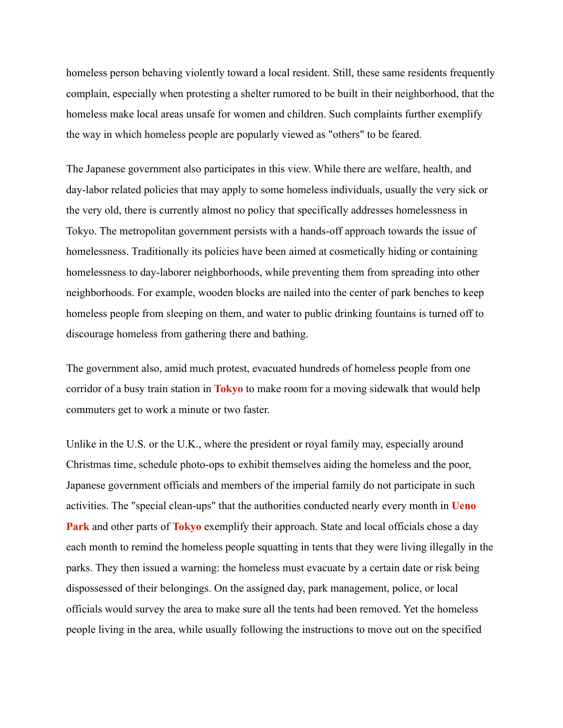homeless person behaving violently toward a local resident. Still, these same residents frequently complain, especially when protesting a shelter rumored to be built in their neighborhood, that the homeless make local areas unsafe for women and children. Such complaints further exemplify the way in which homeless people are popularly viewed as "others" to be feared.

The Japanese government also participates in this view. While there are welfare, health, and day-labor related policies that may apply to some homeless individuals, usually the very sick or the very old, there is currently almost no policy that specifically addresses homelessness in Tokyo. The metropolitan government persists with a hands-off approach towards the issue of homelessness. Traditionally its policies have been aimed at cosmetically hiding or containing homelessness to day-laborer neighborhoods, while preventing them from spreading into other neighborhoods. For example, wooden blocks are nailed into the center of park benches to keep homeless people from sleeping on them, and water to public drinking fountains is turned off to discourage homeless from gathering there and bathing.

The government also, amid much protest, evacuated hundreds of homeless people from one corridor of a busy train station in **[Tokyo](https://japanpitt.pitt.edu/glossary/tokyo)** to make room for a moving sidewalk that would help commuters get to work a minute or two faster.

Unlike in the U.S. or the U.K., where the president or royal family may, especially around Christmas time, schedule photo-ops to exhibit themselves aiding the homeless and the poor, Japanese government officials and members of the imperial family do not participate in such activities. The "special clean-ups" that the authorities conducted nearly every month in **[Ueno](https://japanpitt.pitt.edu/glossary/ueno-park) [Park](https://japanpitt.pitt.edu/glossary/ueno-park)** and other parts of **[Tokyo](https://japanpitt.pitt.edu/glossary/tokyo)** exemplify their approach. State and local officials chose a day each month to remind the homeless people squatting in tents that they were living illegally in the parks. They then issued a warning: the homeless must evacuate by a certain date or risk being dispossessed of their belongings. On the assigned day, park management, police, or local officials would survey the area to make sure all the tents had been removed. Yet the homeless people living in the area, while usually following the instructions to move out on the specified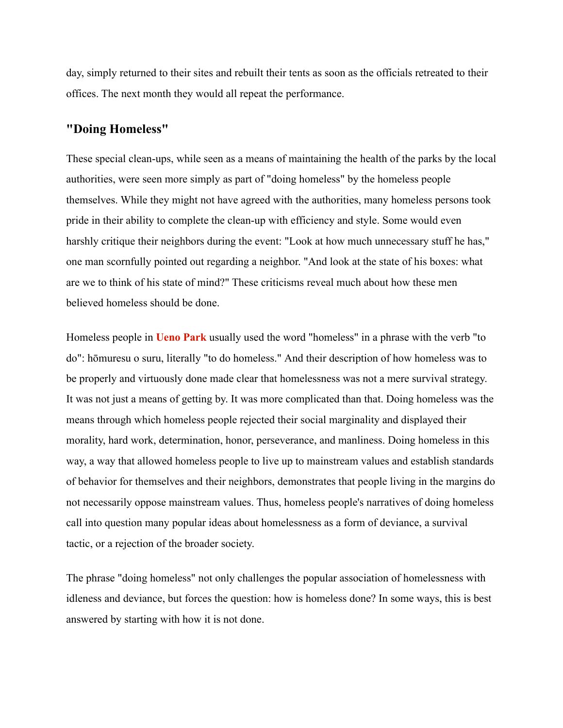day, simply returned to their sites and rebuilt their tents as soon as the officials retreated to their offices. The next month they would all repeat the performance.

## **"Doing Homeless"**

These special clean-ups, while seen as a means of maintaining the health of the parks by the local authorities, were seen more simply as part of "doing homeless" by the homeless people themselves. While they might not have agreed with the authorities, many homeless persons took pride in their ability to complete the clean-up with efficiency and style. Some would even harshly critique their neighbors during the event: "Look at how much unnecessary stuff he has," one man scornfully pointed out regarding a neighbor. "And look at the state of his boxes: what are we to think of his state of mind?" These criticisms reveal much about how these men believed homeless should be done.

Homeless people in **[Ueno Park](https://japanpitt.pitt.edu/glossary/ueno-park)** usually used the word "homeless" in a phrase with the verb "to do": hōmuresu o suru, literally "to do homeless." And their description of how homeless was to be properly and virtuously done made clear that homelessness was not a mere survival strategy. It was not just a means of getting by. It was more complicated than that. Doing homeless was the means through which homeless people rejected their social marginality and displayed their morality, hard work, determination, honor, perseverance, and manliness. Doing homeless in this way, a way that allowed homeless people to live up to mainstream values and establish standards of behavior for themselves and their neighbors, demonstrates that people living in the margins do not necessarily oppose mainstream values. Thus, homeless people's narratives of doing homeless call into question many popular ideas about homelessness as a form of deviance, a survival tactic, or a rejection of the broader society.

The phrase "doing homeless" not only challenges the popular association of homelessness with idleness and deviance, but forces the question: how is homeless done? In some ways, this is best answered by starting with how it is not done.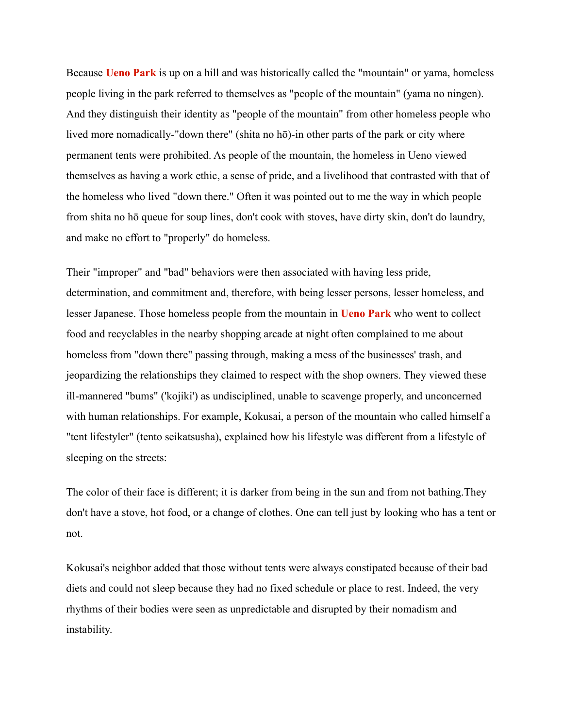Because **[Ueno Park](https://japanpitt.pitt.edu/glossary/ueno-park)** is up on a hill and was historically called the "mountain" or yama, homeless people living in the park referred to themselves as "people of the mountain" (yama no ningen). And they distinguish their identity as "people of the mountain" from other homeless people who lived more nomadically-"down there" (shita no hō)-in other parts of the park or city where permanent tents were prohibited. As people of the mountain, the homeless in Ueno viewed themselves as having a work ethic, a sense of pride, and a livelihood that contrasted with that of the homeless who lived "down there." Often it was pointed out to me the way in which people from shita no hō queue for soup lines, don't cook with stoves, have dirty skin, don't do laundry, and make no effort to "properly" do homeless.

Their "improper" and "bad" behaviors were then associated with having less pride, determination, and commitment and, therefore, with being lesser persons, lesser homeless, and lesser Japanese. Those homeless people from the mountain in **[Ueno Park](https://japanpitt.pitt.edu/glossary/ueno-park)** who went to collect food and recyclables in the nearby shopping arcade at night often complained to me about homeless from "down there" passing through, making a mess of the businesses' trash, and jeopardizing the relationships they claimed to respect with the shop owners. They viewed these ill-mannered "bums" ('kojiki') as undisciplined, unable to scavenge properly, and unconcerned with human relationships. For example, Kokusai, a person of the mountain who called himself a "tent lifestyler" (tento seikatsusha), explained how his lifestyle was different from a lifestyle of sleeping on the streets:

The color of their face is different; it is darker from being in the sun and from not bathing.They don't have a stove, hot food, or a change of clothes. One can tell just by looking who has a tent or not.

Kokusai's neighbor added that those without tents were always constipated because of their bad diets and could not sleep because they had no fixed schedule or place to rest. Indeed, the very rhythms of their bodies were seen as unpredictable and disrupted by their nomadism and instability.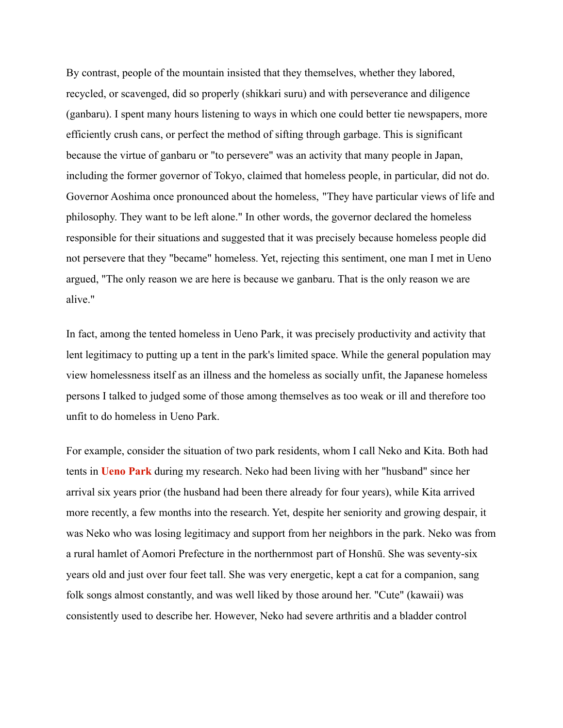By contrast, people of the mountain insisted that they themselves, whether they labored, recycled, or scavenged, did so properly (shikkari suru) and with perseverance and diligence (ganbaru). I spent many hours listening to ways in which one could better tie newspapers, more efficiently crush cans, or perfect the method of sifting through garbage. This is significant because the virtue of ganbaru or "to persevere" was an activity that many people in Japan, including the former governor of Tokyo, claimed that homeless people, in particular, did not do. Governor Aoshima once pronounced about the homeless, "They have particular views of life and philosophy. They want to be left alone." In other words, the governor declared the homeless responsible for their situations and suggested that it was precisely because homeless people did not persevere that they "became" homeless. Yet, rejecting this sentiment, one man I met in Ueno argued, "The only reason we are here is because we ganbaru. That is the only reason we are alive."

In fact, among the tented homeless in Ueno Park, it was precisely productivity and activity that lent legitimacy to putting up a tent in the park's limited space. While the general population may view homelessness itself as an illness and the homeless as socially unfit, the Japanese homeless persons I talked to judged some of those among themselves as too weak or ill and therefore too unfit to do homeless in Ueno Park.

For example, consider the situation of two park residents, whom I call Neko and Kita. Both had tents in **[Ueno Park](https://japanpitt.pitt.edu/glossary/ueno-park)** during my research. Neko had been living with her "husband" since her arrival six years prior (the husband had been there already for four years), while Kita arrived more recently, a few months into the research. Yet, despite her seniority and growing despair, it was Neko who was losing legitimacy and support from her neighbors in the park. Neko was from a rural hamlet of Aomori Prefecture in the northernmost part of Honshū. She was seventy-six years old and just over four feet tall. She was very energetic, kept a cat for a companion, sang folk songs almost constantly, and was well liked by those around her. "Cute" (kawaii) was consistently used to describe her. However, Neko had severe arthritis and a bladder control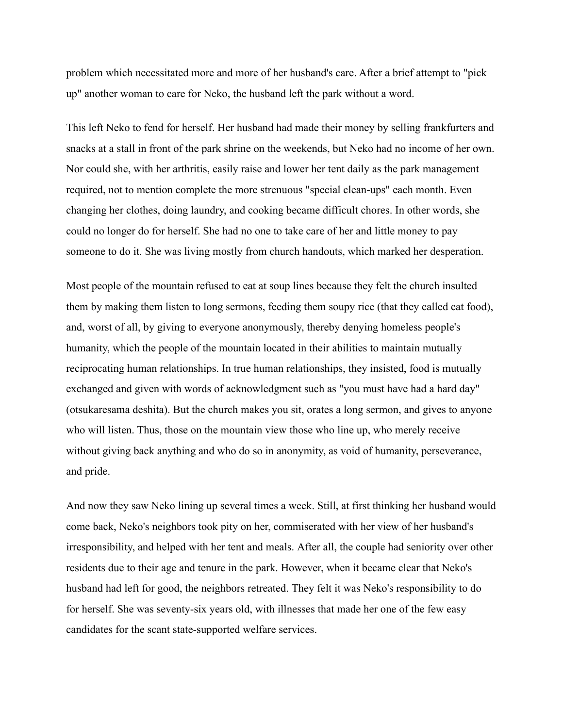problem which necessitated more and more of her husband's care. After a brief attempt to "pick up" another woman to care for Neko, the husband left the park without a word.

This left Neko to fend for herself. Her husband had made their money by selling frankfurters and snacks at a stall in front of the park shrine on the weekends, but Neko had no income of her own. Nor could she, with her arthritis, easily raise and lower her tent daily as the park management required, not to mention complete the more strenuous "special clean-ups" each month. Even changing her clothes, doing laundry, and cooking became difficult chores. In other words, she could no longer do for herself. She had no one to take care of her and little money to pay someone to do it. She was living mostly from church handouts, which marked her desperation.

Most people of the mountain refused to eat at soup lines because they felt the church insulted them by making them listen to long sermons, feeding them soupy rice (that they called cat food), and, worst of all, by giving to everyone anonymously, thereby denying homeless people's humanity, which the people of the mountain located in their abilities to maintain mutually reciprocating human relationships. In true human relationships, they insisted, food is mutually exchanged and given with words of acknowledgment such as "you must have had a hard day" (otsukaresama deshita). But the church makes you sit, orates a long sermon, and gives to anyone who will listen. Thus, those on the mountain view those who line up, who merely receive without giving back anything and who do so in anonymity, as void of humanity, perseverance, and pride.

And now they saw Neko lining up several times a week. Still, at first thinking her husband would come back, Neko's neighbors took pity on her, commiserated with her view of her husband's irresponsibility, and helped with her tent and meals. After all, the couple had seniority over other residents due to their age and tenure in the park. However, when it became clear that Neko's husband had left for good, the neighbors retreated. They felt it was Neko's responsibility to do for herself. She was seventy-six years old, with illnesses that made her one of the few easy candidates for the scant state-supported welfare services.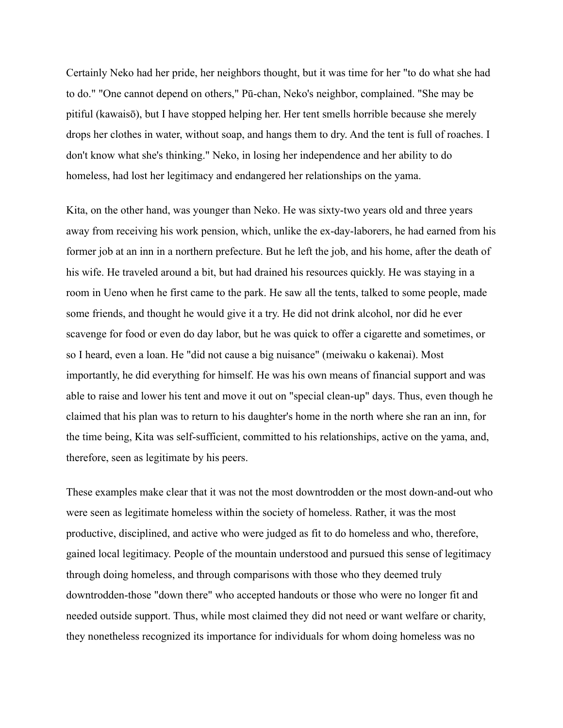Certainly Neko had her pride, her neighbors thought, but it was time for her "to do what she had to do." "One cannot depend on others," Pū-chan, Neko's neighbor, complained. "She may be pitiful (kawaisō), but I have stopped helping her. Her tent smells horrible because she merely drops her clothes in water, without soap, and hangs them to dry. And the tent is full of roaches. I don't know what she's thinking." Neko, in losing her independence and her ability to do homeless, had lost her legitimacy and endangered her relationships on the yama.

Kita, on the other hand, was younger than Neko. He was sixty-two years old and three years away from receiving his work pension, which, unlike the ex-day-laborers, he had earned from his former job at an inn in a northern prefecture. But he left the job, and his home, after the death of his wife. He traveled around a bit, but had drained his resources quickly. He was staying in a room in Ueno when he first came to the park. He saw all the tents, talked to some people, made some friends, and thought he would give it a try. He did not drink alcohol, nor did he ever scavenge for food or even do day labor, but he was quick to offer a cigarette and sometimes, or so I heard, even a loan. He "did not cause a big nuisance" (meiwaku o kakenai). Most importantly, he did everything for himself. He was his own means of financial support and was able to raise and lower his tent and move it out on "special clean-up" days. Thus, even though he claimed that his plan was to return to his daughter's home in the north where she ran an inn, for the time being, Kita was self-sufficient, committed to his relationships, active on the yama, and, therefore, seen as legitimate by his peers.

These examples make clear that it was not the most downtrodden or the most down-and-out who were seen as legitimate homeless within the society of homeless. Rather, it was the most productive, disciplined, and active who were judged as fit to do homeless and who, therefore, gained local legitimacy. People of the mountain understood and pursued this sense of legitimacy through doing homeless, and through comparisons with those who they deemed truly downtrodden-those "down there" who accepted handouts or those who were no longer fit and needed outside support. Thus, while most claimed they did not need or want welfare or charity, they nonetheless recognized its importance for individuals for whom doing homeless was no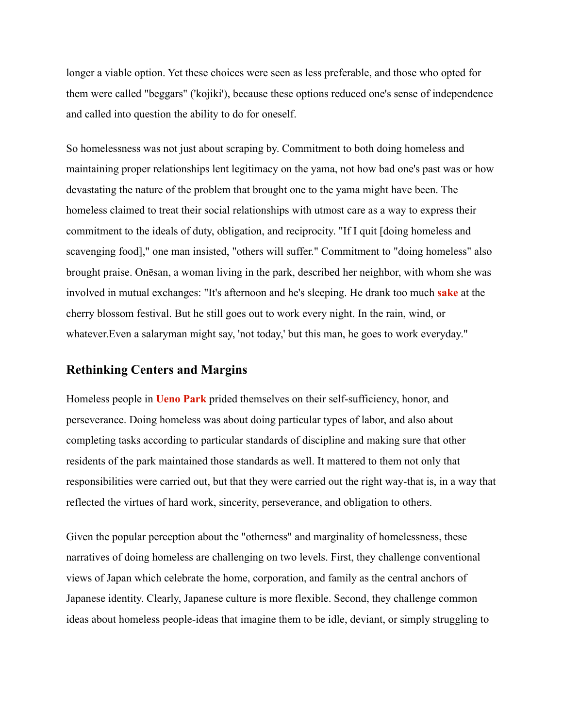longer a viable option. Yet these choices were seen as less preferable, and those who opted for them were called "beggars" ('kojiki'), because these options reduced one's sense of independence and called into question the ability to do for oneself.

So homelessness was not just about scraping by. Commitment to both doing homeless and maintaining proper relationships lent legitimacy on the yama, not how bad one's past was or how devastating the nature of the problem that brought one to the yama might have been. The homeless claimed to treat their social relationships with utmost care as a way to express their commitment to the ideals of duty, obligation, and reciprocity. "If I quit [doing homeless and scavenging food]," one man insisted, "others will suffer." Commitment to "doing homeless" also brought praise. Onēsan, a woman living in the park, described her neighbor, with whom she was involved in mutual exchanges: "It's afternoon and he's sleeping. He drank too much **[sake](https://japanpitt.pitt.edu/glossary/sake)** at the cherry blossom festival. But he still goes out to work every night. In the rain, wind, or whatever.Even a salaryman might say, 'not today,' but this man, he goes to work everyday."

#### **Rethinking Centers and Margins**

Homeless people in **[Ueno Park](https://japanpitt.pitt.edu/glossary/ueno-park)** prided themselves on their self-sufficiency, honor, and perseverance. Doing homeless was about doing particular types of labor, and also about completing tasks according to particular standards of discipline and making sure that other residents of the park maintained those standards as well. It mattered to them not only that responsibilities were carried out, but that they were carried out the right way-that is, in a way that reflected the virtues of hard work, sincerity, perseverance, and obligation to others.

Given the popular perception about the "otherness" and marginality of homelessness, these narratives of doing homeless are challenging on two levels. First, they challenge conventional views of Japan which celebrate the home, corporation, and family as the central anchors of Japanese identity. Clearly, Japanese culture is more flexible. Second, they challenge common ideas about homeless people-ideas that imagine them to be idle, deviant, or simply struggling to